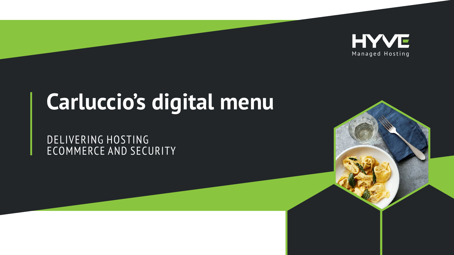

## **Carluccio's digital menu**

DELIVERING HOSTING ECOMMERCE AND SECURITY

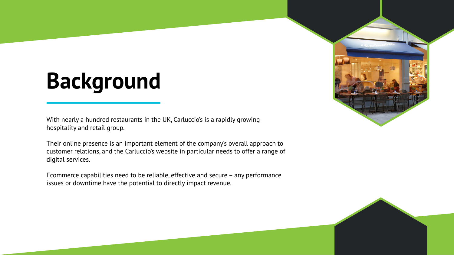## **Background**

With nearly a hundred restaurants in the UK, Carluccio's is a rapidly growing hospitality and retail group.

Their online presence is an important element of the company's overall approach to customer relations, and the Carluccio's website in particular needs to offer a range of digital services.

Ecommerce capabilities need to be reliable, effective and secure – any performance issues or downtime have the potential to directly impact revenue.

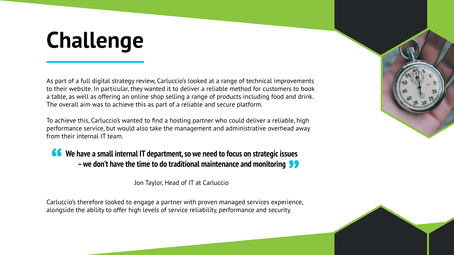# **Challenge**

As part of a full digital strategy review, Carluccio's looked at a range of technical improvements to their website. In particular, they wanted it to deliver a reliable method for customers to book a table, as well as offering an online shop selling a range of products including food and drink. The overall aim was to achieve this as part of a reliable and secure platform.

To achieve this, Carluccio's wanted to find a hosting partner who could deliver a reliable, high performance service, but would also take the management and administrative overhead away from their internal IT team.

#### **We have a small internal IT department, so we need to focus on strategic issues<br><b>4 • we don't have the time to do traditional maintenance and monitoring<br>len Tayler Head of IT at Carlussia – we don't have the time to do traditional maintenance and monitoring <b>99**<br>Jon Taylor, Head of IT at Carluccio

Jon Taylor, Head of IT at Carluccio

Carluccio's therefore looked to engage a partner with proven managed services experience, alongside the ability to offer high levels of service reliability, performance and security.

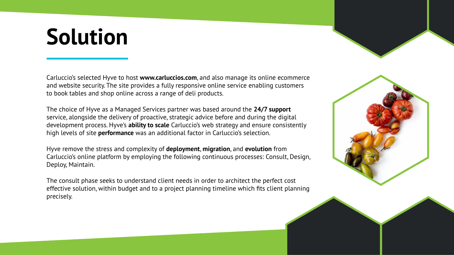## **Solution**

Carluccio's selected Hyve to host **www.carluccios.com**, and also manage its online ecommerce and website security. The site provides a fully responsive online service enabling customers to book tables and shop online across a range of deli products.

The choice of Hyve as a Managed Services partner was based around the **24/7 support** service, alongside the delivery of proactive, strategic advice before and during the digital development process. Hyve's **ability to scale** Carluccio's web strategy and ensure consistently high levels of site **performance** was an additional factor in Carluccio's selection.

Hyve remove the stress and complexity of **deployment**, **migration**, and **evolution** from Carluccio's online platform by employing the following continuous processes: Consult, Design, Deploy, Maintain.

The consult phase seeks to understand client needs in order to architect the perfect cost effective solution, within budget and to a project planning timeline which fits client planning precisely.



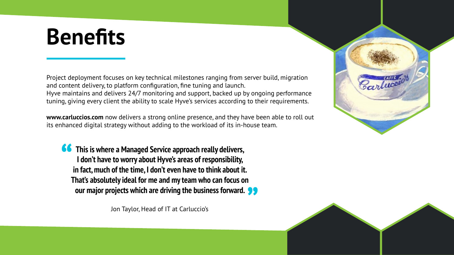## **Benefits**

Project deployment focuses on key technical milestones ranging from server build, migration and content delivery, to platform configuration, fine tuning and launch. Hyve maintains and delivers 24/7 monitoring and support, backed up by ongoing performance tuning, giving every client the ability to scale Hyve's services according to their requirements.

**www.carluccios.com** now delivers a strong online presence, and they have been able to roll out its enhanced digital strategy without adding to the workload of its in-house team.

**This is where a Managed Service approach really delivers,<br>
<b>1** don't have to worry about Hyve's areas of responsibility,<br>
in fact, much of the time, I don't even have to think about it **I don't have to worry about Hyve's areas of responsibility, in fact, much of the time, I don't even have to think about it. That's absolutely ideal for me and my team who can focus on our major projects which are driving the business forward.<br>Jon Taylor, Head of IT at Carluccio's** 

Jon Taylor, Head of IT at Carluccio's